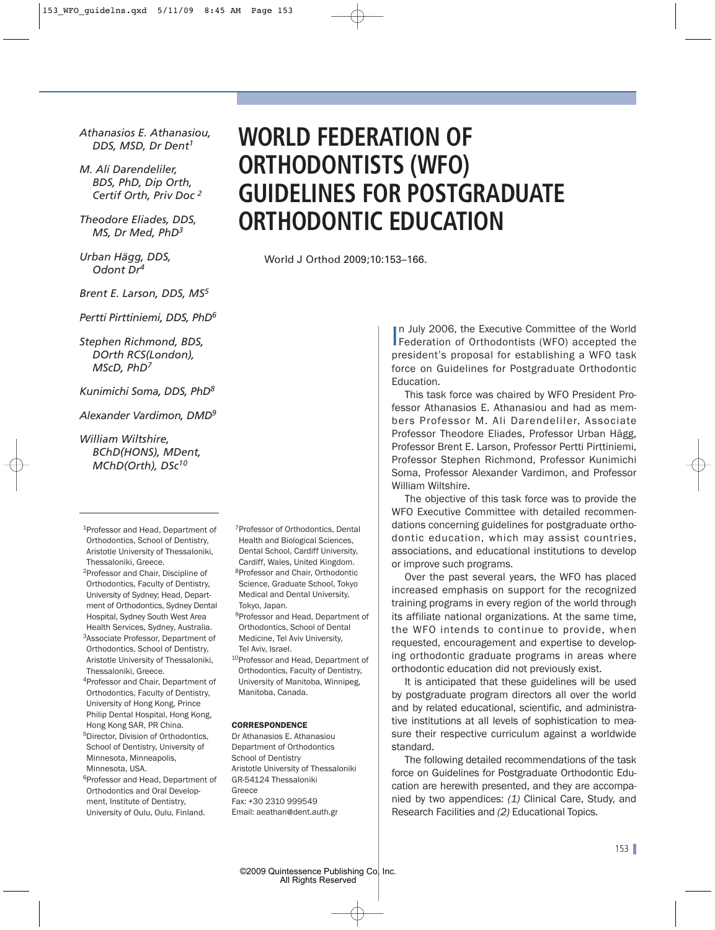*Athanasios E. Athanasiou, DDS, MSD, Dr Dent1*

*M. Ali Darendeliler, BDS, PhD, Dip Orth, Certif Orth, Priv Doc 2*

*Theodore Eliades, DDS, MS, Dr Med, PhD3*

*Urban Hägg, DDS, Odont Dr4*

*Brent E. Larson, DDS, MS5*

*Pertti Pirttiniemi, DDS, PhD6*

*Stephen Richmond, BDS, DOrth RCS(London), MScD, PhD7*

*Kunimichi Soma, DDS, PhD8*

*Alexander Vardimon, DMD9*

*William Wiltshire, BChD(HONS), MDent, MChD(Orth), DSc10*

1Professor and Head, Department of Orthodontics, School of Dentistry, Aristotle University of Thessaloniki, Thessaloniki, Greece.

2Professor and Chair, Discipline of Orthodontics, Faculty of Dentistry, University of Sydney; Head, Department of Orthodontics, Sydney Dental Hospital, Sydney South West Area Health Services, Sydney, Australia.

3Associate Professor, Department of Orthodontics, School of Dentistry, Aristotle University of Thessaloniki, Thessaloniki, Greece.

4Professor and Chair, Department of Orthodontics, Faculty of Dentistry, University of Hong Kong, Prince Philip Dental Hospital, Hong Kong, Hong Kong SAR, PR China.

5Director, Division of Orthodontics, School of Dentistry, University of Minnesota, Minneapolis, Minnesota, USA.

6Professor and Head, Department of Orthodontics and Oral Development, Institute of Dentistry, University of Oulu, Oulu, Finland.

7Professor of Orthodontics, Dental Health and Biological Sciences, Dental School, Cardiff University, Cardiff, Wales, United Kingdom. 8Professor and Chair, Orthodontic Science, Graduate School, Tokyo Medical and Dental University, Tokyo, Japan.

9Professor and Head, Department of Orthodontics, School of Dental Medicine, Tel Aviv University, Tel Aviv, Israel.

10Professor and Head, Department of Orthodontics, Faculty of Dentistry, University of Manitoba, Winnipeg, Manitoba, Canada.

### CORRESPONDENCE

Dr Athanasios E. Athanasiou Department of Orthodontics School of Dentistry Aristotle University of Thessaloniki GR-54124 Thessaloniki Greece Fax: +30 2310 999549 Email: aeathan@dent.auth.gr

# **WORLD FEDERATION OF ORTHODONTISTS (WFO) GUIDELINES FOR POSTGRADUATE ORTHODONTIC EDUCATION**

World J Orthod 2009;10:153–166.

In July 2006, the Executive Committee of the World<br>Federation of Orthodontists (WFO) accepted the n July 2006, the Executive Committee of the World president's proposal for establishing a WFO task force on Guidelines for Postgraduate Orthodontic Education.

This task force was chaired by WFO President Professor Athanasios E. Athanasiou and had as members Professor M. Ali Darendeliler, Associate Professor Theodore Eliades, Professor Urban Hägg, Professor Brent E. Larson, Professor Pertti Pirttiniemi, Professor Stephen Richmond, Professor Kunimichi Soma, Professor Alexander Vardimon, and Professor William Wiltshire.

The objective of this task force was to provide the WFO Executive Committee with detailed recommendations concerning guidelines for postgraduate orthodontic education, which may assist countries, associations, and educational institutions to develop or improve such programs.

Over the past several years, the WFO has placed increased emphasis on support for the recognized training programs in every region of the world through its affiliate national organizations. At the same time, the WFO intends to continue to provide, when requested, encouragement and expertise to developing orthodontic graduate programs in areas where orthodontic education did not previously exist.

It is anticipated that these guidelines will be used by postgraduate program directors all over the world and by related educational, scientific, and administrative institutions at all levels of sophistication to measure their respective curriculum against a worldwide standard.

The following detailed recommendations of the task force on Guidelines for Postgraduate Orthodontic Education are herewith presented, and they are accompanied by two appendices: *(1)* Clinical Care, Study, and Research Facilities and *(2)* Educational Topics.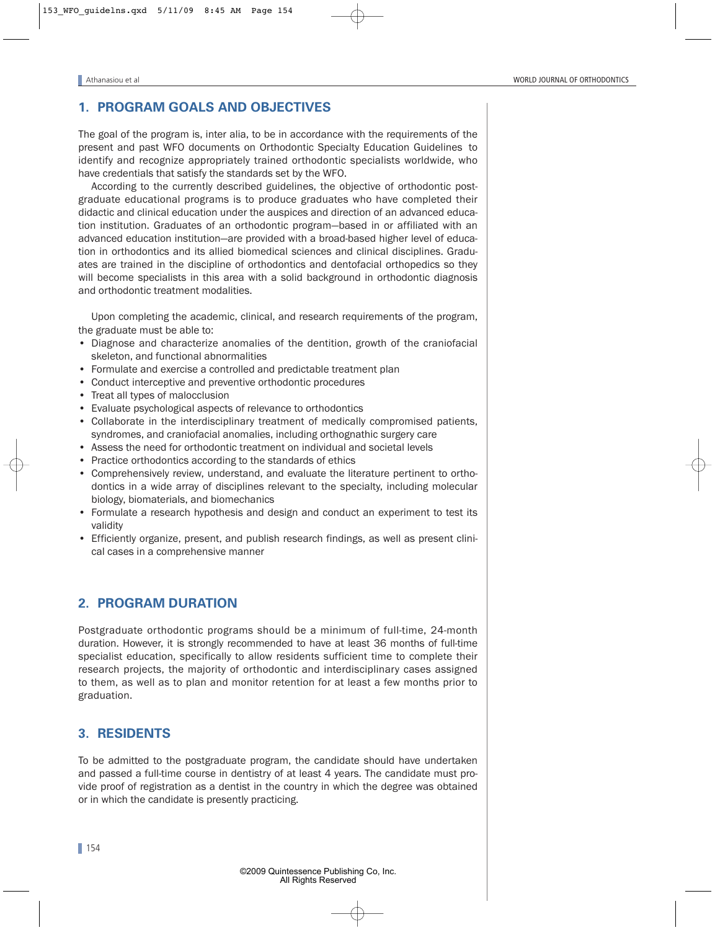# **1. PROGRAM GOALS AND OBJECTIVES**

The goal of the program is, inter alia, to be in accordance with the requirements of the present and past WFO documents on Orthodontic Specialty Education Guidelines to identify and recognize appropriately trained orthodontic specialists worldwide, who have credentials that satisfy the standards set by the WFO.

According to the currently described guidelines, the objective of orthodontic postgraduate educational programs is to produce graduates who have completed their didactic and clinical education under the auspices and direction of an advanced education institution. Graduates of an orthodontic program—based in or affiliated with an advanced education institution—are provided with a broad-based higher level of education in orthodontics and its allied biomedical sciences and clinical disciplines. Graduates are trained in the discipline of orthodontics and dentofacial orthopedics so they will become specialists in this area with a solid background in orthodontic diagnosis and orthodontic treatment modalities.

Upon completing the academic, clinical, and research requirements of the program, the graduate must be able to:

- Diagnose and characterize anomalies of the dentition, growth of the craniofacial skeleton, and functional abnormalities
- Formulate and exercise a controlled and predictable treatment plan
- Conduct interceptive and preventive orthodontic procedures
- Treat all types of malocclusion
- Evaluate psychological aspects of relevance to orthodontics
- Collaborate in the interdisciplinary treatment of medically compromised patients, syndromes, and craniofacial anomalies, including orthognathic surgery care
- Assess the need for orthodontic treatment on individual and societal levels
- Practice orthodontics according to the standards of ethics
- Comprehensively review, understand, and evaluate the literature pertinent to orthodontics in a wide array of disciplines relevant to the specialty, including molecular biology, biomaterials, and biomechanics
- Formulate a research hypothesis and design and conduct an experiment to test its validity
- Efficiently organize, present, and publish research findings, as well as present clinical cases in a comprehensive manner

# **2. PROGRAM DURATION**

Postgraduate orthodontic programs should be a minimum of full-time, 24-month duration. However, it is strongly recommended to have at least 36 months of full-time specialist education, specifically to allow residents sufficient time to complete their research projects, the majority of orthodontic and interdisciplinary cases assigned to them, as well as to plan and monitor retention for at least a few months prior to graduation.

# **3. RESIDENTS**

To be admitted to the postgraduate program, the candidate should have undertaken and passed a full-time course in dentistry of at least 4 years. The candidate must provide proof of registration as a dentist in the country in which the degree was obtained or in which the candidate is presently practicing.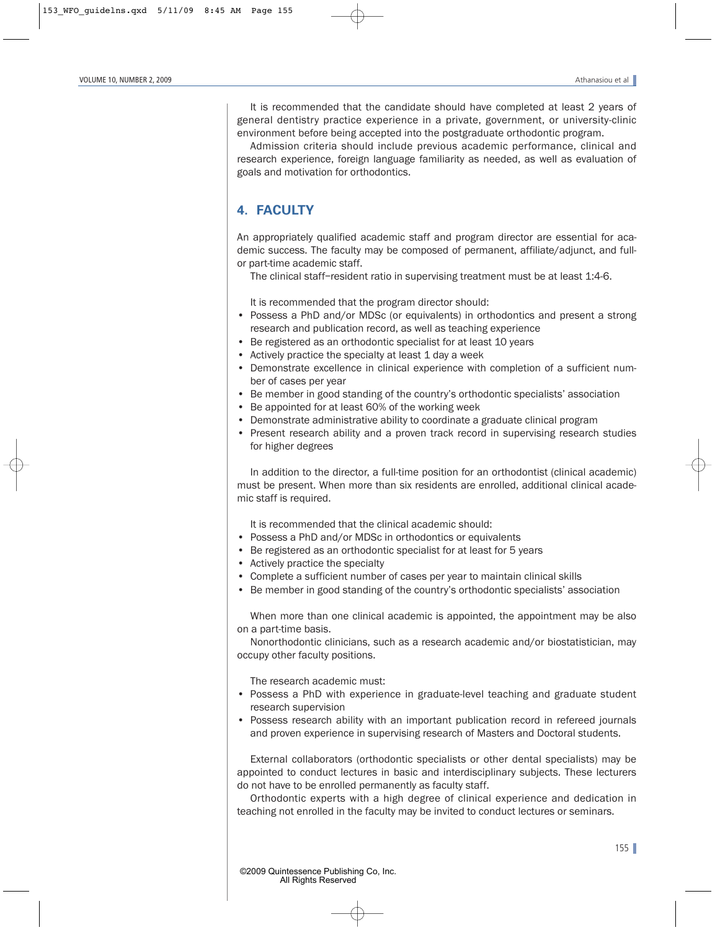It is recommended that the candidate should have completed at least 2 years of general dentistry practice experience in a private, government, or university-clinic environment before being accepted into the postgraduate orthodontic program.

Admission criteria should include previous academic performance, clinical and research experience, foreign language familiarity as needed, as well as evaluation of goals and motivation for orthodontics.

# **4. FACULTY**

An appropriately qualified academic staff and program director are essential for academic success. The faculty may be composed of permanent, affiliate/adjunct, and fullor part-time academic staff.

The clinical staff–resident ratio in supervising treatment must be at least 1:4-6.

It is recommended that the program director should:

- Possess a PhD and/or MDSc (or equivalents) in orthodontics and present a strong research and publication record, as well as teaching experience
- Be registered as an orthodontic specialist for at least 10 years
- Actively practice the specialty at least 1 day a week
- Demonstrate excellence in clinical experience with completion of a sufficient number of cases per year
- Be member in good standing of the country's orthodontic specialists' association
- Be appointed for at least 60% of the working week
- Demonstrate administrative ability to coordinate a graduate clinical program
- Present research ability and a proven track record in supervising research studies for higher degrees

In addition to the director, a full-time position for an orthodontist (clinical academic) must be present. When more than six residents are enrolled, additional clinical academic staff is required.

It is recommended that the clinical academic should:

- Possess a PhD and/or MDSc in orthodontics or equivalents
- Be registered as an orthodontic specialist for at least for 5 years
- Actively practice the specialty
- Complete a sufficient number of cases per year to maintain clinical skills
- Be member in good standing of the country's orthodontic specialists' association

When more than one clinical academic is appointed, the appointment may be also on a part-time basis.

Nonorthodontic clinicians, such as a research academic and/or biostatistician, may occupy other faculty positions.

The research academic must:

- Possess a PhD with experience in graduate-level teaching and graduate student research supervision
- Possess research ability with an important publication record in refereed journals and proven experience in supervising research of Masters and Doctoral students.

External collaborators (orthodontic specialists or other dental specialists) may be appointed to conduct lectures in basic and interdisciplinary subjects. These lecturers do not have to be enrolled permanently as faculty staff.

Orthodontic experts with a high degree of clinical experience and dedication in teaching not enrolled in the faculty may be invited to conduct lectures or seminars.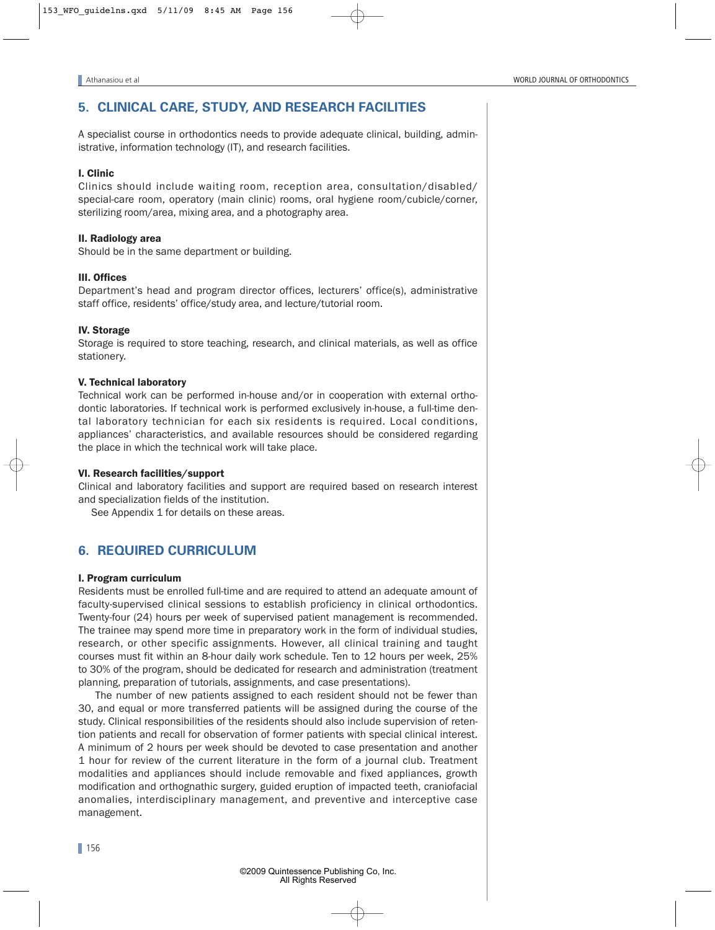# **5. CLINICAL CARE, STUDY, AND RESEARCH FACILITIES**

A specialist course in orthodontics needs to provide adequate clinical, building, administrative, information technology (IT), and research facilities.

# I. Clinic

Clinics should include waiting room, reception area, consultation/disabled/ special-care room, operatory (main clinic) rooms, oral hygiene room/cubicle/corner, sterilizing room/area, mixing area, and a photography area.

# II. Radiology area

Should be in the same department or building.

# III. Offices

Department's head and program director offices, lecturers' office(s), administrative staff office, residents' office/study area, and lecture/tutorial room.

# IV. Storage

Storage is required to store teaching, research, and clinical materials, as well as office stationery.

# V. Technical laboratory

Technical work can be performed in-house and/or in cooperation with external orthodontic laboratories. If technical work is performed exclusively in-house, a full-time dental laboratory technician for each six residents is required. Local conditions, appliances' characteristics, and available resources should be considered regarding the place in which the technical work will take place.

# VI. Research facilities/support

Clinical and laboratory facilities and support are required based on research interest and specialization fields of the institution.

See Appendix 1 for details on these areas.

# **6. REQUIRED CURRICULUM**

# I. Program curriculum

Residents must be enrolled full-time and are required to attend an adequate amount of faculty-supervised clinical sessions to establish proficiency in clinical orthodontics. Twenty-four (24) hours per week of supervised patient management is recommended. The trainee may spend more time in preparatory work in the form of individual studies, research, or other specific assignments. However, all clinical training and taught courses must fit within an 8-hour daily work schedule. Ten to 12 hours per week, 25% to 30% of the program, should be dedicated for research and administration (treatment planning, preparation of tutorials, assignments, and case presentations).

The number of new patients assigned to each resident should not be fewer than 30, and equal or more transferred patients will be assigned during the course of the study. Clinical responsibilities of the residents should also include supervision of retention patients and recall for observation of former patients with special clinical interest. A minimum of 2 hours per week should be devoted to case presentation and another 1 hour for review of the current literature in the form of a journal club. Treatment modalities and appliances should include removable and fixed appliances, growth modification and orthognathic surgery, guided eruption of impacted teeth, craniofacial anomalies, interdisciplinary management, and preventive and interceptive case management.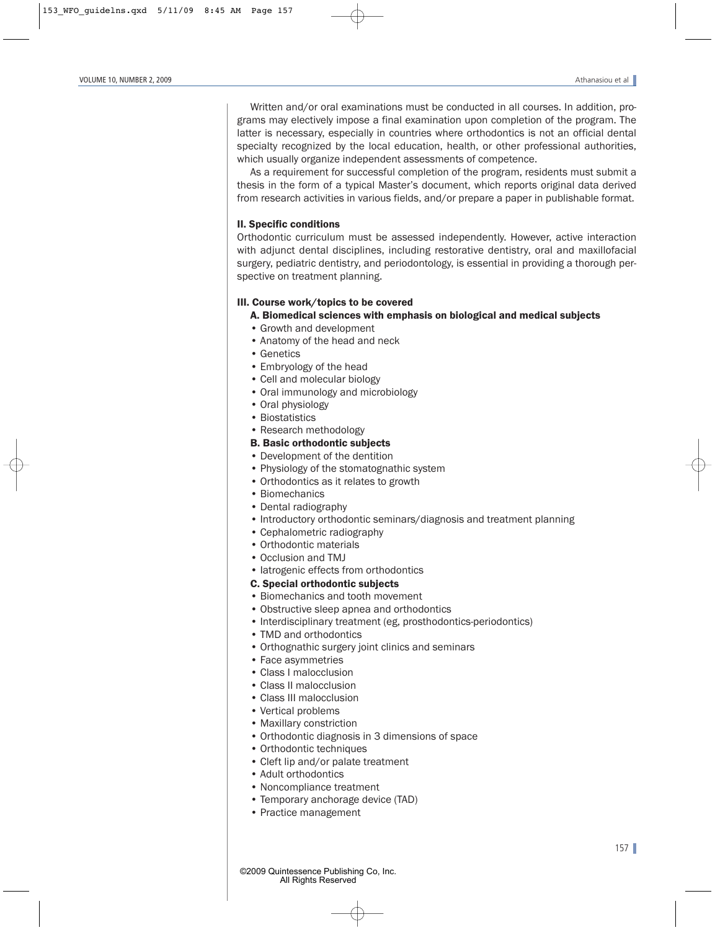Written and/or oral examinations must be conducted in all courses. In addition, programs may electively impose a final examination upon completion of the program. The latter is necessary, especially in countries where orthodontics is not an official dental specialty recognized by the local education, health, or other professional authorities, which usually organize independent assessments of competence.

As a requirement for successful completion of the program, residents must submit a thesis in the form of a typical Master's document, which reports original data derived from research activities in various fields, and/or prepare a paper in publishable format.

# II. Specific conditions

Orthodontic curriculum must be assessed independently. However, active interaction with adjunct dental disciplines, including restorative dentistry, oral and maxillofacial surgery, pediatric dentistry, and periodontology, is essential in providing a thorough perspective on treatment planning.

### III. Course work/topics to be covered

- A. Biomedical sciences with emphasis on biological and medical subjects
- Growth and development
- Anatomy of the head and neck
- Genetics
- Embryology of the head
- Cell and molecular biology
- Oral immunology and microbiology
- Oral physiology
- Biostatistics
- Research methodology
- B. Basic orthodontic subjects
- Development of the dentition
- Physiology of the stomatognathic system
- Orthodontics as it relates to growth
- Biomechanics
- Dental radiography
- Introductory orthodontic seminars/diagnosis and treatment planning
- Cephalometric radiography
- Orthodontic materials
- Occlusion and TMJ
- Iatrogenic effects from orthodontics
- C. Special orthodontic subjects
- Biomechanics and tooth movement
- Obstructive sleep apnea and orthodontics
- Interdisciplinary treatment (eg, prosthodontics-periodontics)
- TMD and orthodontics
- Orthognathic surgery joint clinics and seminars
- Face asymmetries
- Class I malocclusion
- Class II malocclusion
- Class III malocclusion
- Vertical problems
- Maxillary constriction
- Orthodontic diagnosis in 3 dimensions of space
- Orthodontic techniques
- Cleft lip and/or palate treatment
- Adult orthodontics
- Noncompliance treatment
- Temporary anchorage device (TAD)
- Practice management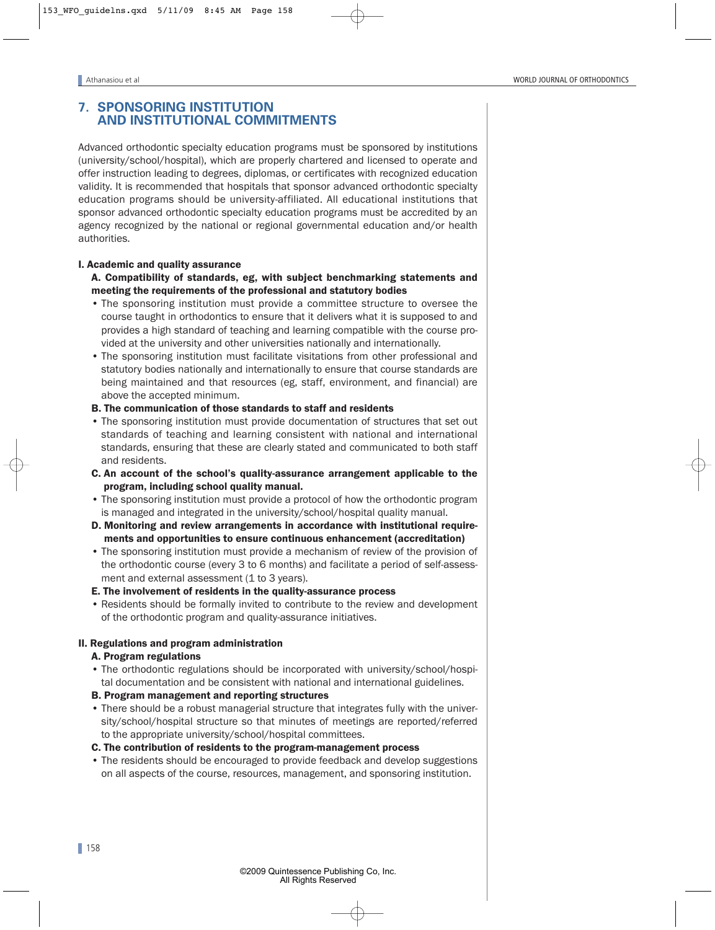# **7. SPONSORING INSTITUTION AND INSTITUTIONAL COMMITMENTS**

Advanced orthodontic specialty education programs must be sponsored by institutions (university/school/hospital), which are properly chartered and licensed to operate and offer instruction leading to degrees, diplomas, or certificates with recognized education validity. It is recommended that hospitals that sponsor advanced orthodontic specialty education programs should be university-affiliated. All educational institutions that sponsor advanced orthodontic specialty education programs must be accredited by an agency recognized by the national or regional governmental education and/or health authorities.

# I. Academic and quality assurance

# A. Compatibility of standards, eg, with subject benchmarking statements and meeting the requirements of the professional and statutory bodies

- The sponsoring institution must provide a committee structure to oversee the course taught in orthodontics to ensure that it delivers what it is supposed to and provides a high standard of teaching and learning compatible with the course provided at the university and other universities nationally and internationally.
- The sponsoring institution must facilitate visitations from other professional and statutory bodies nationally and internationally to ensure that course standards are being maintained and that resources (eg, staff, environment, and financial) are above the accepted minimum.

# B. The communication of those standards to staff and residents

- The sponsoring institution must provide documentation of structures that set out standards of teaching and learning consistent with national and international standards, ensuring that these are clearly stated and communicated to both staff and residents.
- C. An account of the school's quality-assurance arrangement applicable to the program, including school quality manual.
- The sponsoring institution must provide a protocol of how the orthodontic program is managed and integrated in the university/school/hospital quality manual.
- D. Monitoring and review arrangements in accordance with institutional requirements and opportunities to ensure continuous enhancement (accreditation)
- The sponsoring institution must provide a mechanism of review of the provision of the orthodontic course (every 3 to 6 months) and facilitate a period of self-assessment and external assessment (1 to 3 years).
- E. The involvement of residents in the quality-assurance process
- Residents should be formally invited to contribute to the review and development of the orthodontic program and quality-assurance initiatives.

# II. Regulations and program administration

# A. Program regulations

- The orthodontic regulations should be incorporated with university/school/hospital documentation and be consistent with national and international guidelines.
- B. Program management and reporting structures
- There should be a robust managerial structure that integrates fully with the university/school/hospital structure so that minutes of meetings are reported/referred to the appropriate university/school/hospital committees.
- C. The contribution of residents to the program-management process
- The residents should be encouraged to provide feedback and develop suggestions on all aspects of the course, resources, management, and sponsoring institution.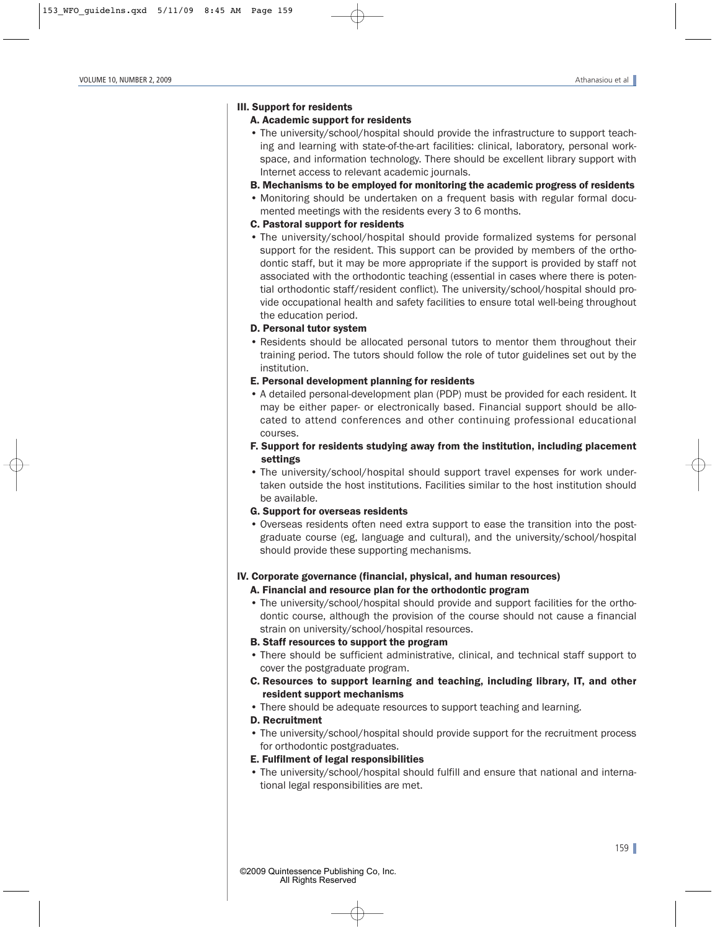### III. Support for residents

# A. Academic support for residents

- The university/school/hospital should provide the infrastructure to support teaching and learning with state-of-the-art facilities: clinical, laboratory, personal workspace, and information technology. There should be excellent library support with Internet access to relevant academic journals.
- B. Mechanisms to be employed for monitoring the academic progress of residents
- Monitoring should be undertaken on a frequent basis with regular formal documented meetings with the residents every 3 to 6 months.

# C. Pastoral support for residents

• The university/school/hospital should provide formalized systems for personal support for the resident. This support can be provided by members of the orthodontic staff, but it may be more appropriate if the support is provided by staff not associated with the orthodontic teaching (essential in cases where there is potential orthodontic staff/resident conflict). The university/school/hospital should provide occupational health and safety facilities to ensure total well-being throughout the education period.

### D. Personal tutor system

• Residents should be allocated personal tutors to mentor them throughout their training period. The tutors should follow the role of tutor guidelines set out by the institution.

### E. Personal development planning for residents

- A detailed personal-development plan (PDP) must be provided for each resident. It may be either paper- or electronically based. Financial support should be allocated to attend conferences and other continuing professional educational courses.
- F. Support for residents studying away from the institution, including placement settings
- The university/school/hospital should support travel expenses for work undertaken outside the host institutions. Facilities similar to the host institution should be available.
- G. Support for overseas residents
- Overseas residents often need extra support to ease the transition into the postgraduate course (eg, language and cultural), and the university/school/hospital should provide these supporting mechanisms.

# IV. Corporate governance (financial, physical, and human resources)

- A. Financial and resource plan for the orthodontic program
- The university/school/hospital should provide and support facilities for the orthodontic course, although the provision of the course should not cause a financial strain on university/school/hospital resources.

# B. Staff resources to support the program

- There should be sufficient administrative, clinical, and technical staff support to cover the postgraduate program.
- C. Resources to support learning and teaching, including library, IT, and other resident support mechanisms
- There should be adequate resources to support teaching and learning.

# D. Recruitment

• The university/school/hospital should provide support for the recruitment process for orthodontic postgraduates.

# E. Fulfilment of legal responsibilities

• The university/school/hospital should fulfill and ensure that national and international legal responsibilities are met.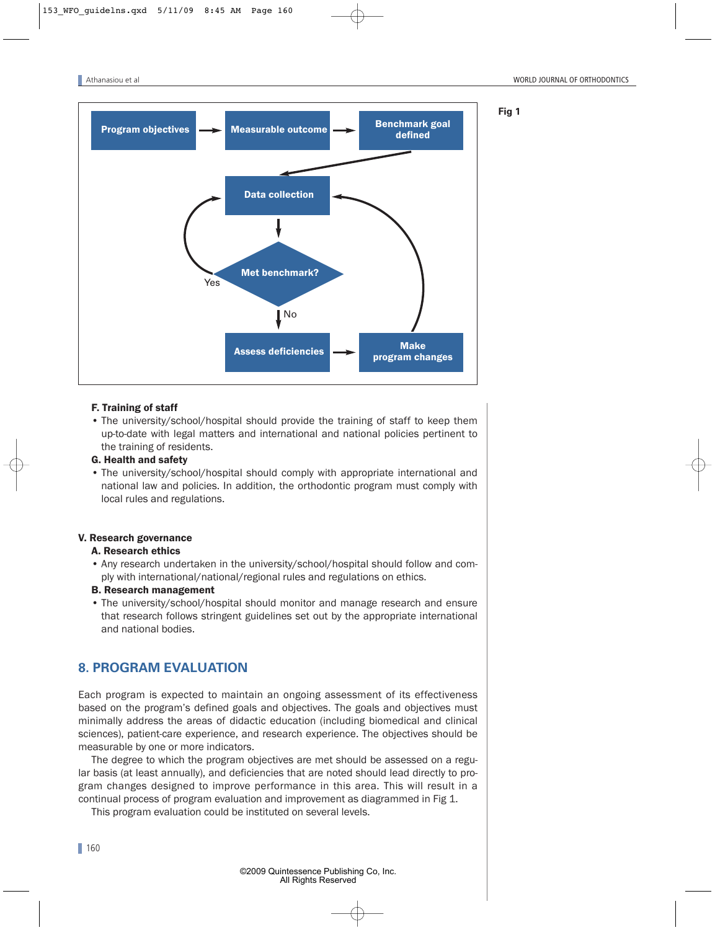

### F. Training of staff

• The university/school/hospital should provide the training of staff to keep them up-to-date with legal matters and international and national policies pertinent to the training of residents.

### G. Health and safety

• The university/school/hospital should comply with appropriate international and national law and policies. In addition, the orthodontic program must comply with local rules and regulations.

### V. Research governance

### A. Research ethics

• Any research undertaken in the university/school/hospital should follow and comply with international/national/regional rules and regulations on ethics.

# B. Research management

• The university/school/hospital should monitor and manage research and ensure that research follows stringent guidelines set out by the appropriate international and national bodies.

# **8. PROGRAM EVALUATION**

Each program is expected to maintain an ongoing assessment of its effectiveness based on the program's defined goals and objectives. The goals and objectives must minimally address the areas of didactic education (including biomedical and clinical sciences), patient-care experience, and research experience. The objectives should be measurable by one or more indicators.

The degree to which the program objectives are met should be assessed on a regular basis (at least annually), and deficiencies that are noted should lead directly to program changes designed to improve performance in this area. This will result in a continual process of program evaluation and improvement as diagrammed in Fig 1.

This program evaluation could be instituted on several levels.

| 160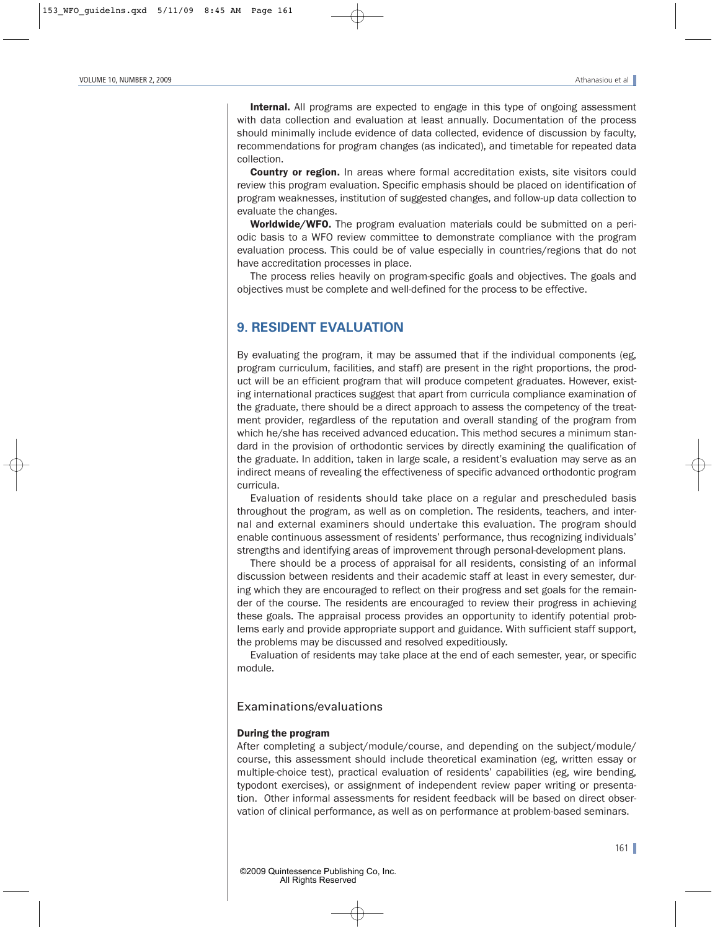Internal. All programs are expected to engage in this type of ongoing assessment with data collection and evaluation at least annually. Documentation of the process should minimally include evidence of data collected, evidence of discussion by faculty, recommendations for program changes (as indicated), and timetable for repeated data collection.

**Country or region.** In areas where formal accreditation exists, site visitors could review this program evaluation. Specific emphasis should be placed on identification of program weaknesses, institution of suggested changes, and follow-up data collection to evaluate the changes.

Worldwide/WFO. The program evaluation materials could be submitted on a periodic basis to a WFO review committee to demonstrate compliance with the program evaluation process. This could be of value especially in countries/regions that do not have accreditation processes in place.

The process relies heavily on program-specific goals and objectives. The goals and objectives must be complete and well-defined for the process to be effective.

# **9. RESIDENT EVALUATION**

By evaluating the program, it may be assumed that if the individual components (eg, program curriculum, facilities, and staff) are present in the right proportions, the product will be an efficient program that will produce competent graduates. However, existing international practices suggest that apart from curricula compliance examination of the graduate, there should be a direct approach to assess the competency of the treatment provider, regardless of the reputation and overall standing of the program from which he/she has received advanced education. This method secures a minimum standard in the provision of orthodontic services by directly examining the qualification of the graduate. In addition, taken in large scale, a resident's evaluation may serve as an indirect means of revealing the effectiveness of specific advanced orthodontic program curricula.

Evaluation of residents should take place on a regular and prescheduled basis throughout the program, as well as on completion. The residents, teachers, and internal and external examiners should undertake this evaluation. The program should enable continuous assessment of residents' performance, thus recognizing individuals' strengths and identifying areas of improvement through personal-development plans.

There should be a process of appraisal for all residents, consisting of an informal discussion between residents and their academic staff at least in every semester, during which they are encouraged to reflect on their progress and set goals for the remainder of the course. The residents are encouraged to review their progress in achieving these goals. The appraisal process provides an opportunity to identify potential problems early and provide appropriate support and guidance. With sufficient staff support, the problems may be discussed and resolved expeditiously.

Evaluation of residents may take place at the end of each semester, year, or specific module.

# Examinations/evaluations

# During the program

After completing a subject/module/course, and depending on the subject/module/ course, this assessment should include theoretical examination (eg, written essay or multiple-choice test), practical evaluation of residents' capabilities (eg, wire bending, typodont exercises), or assignment of independent review paper writing or presentation. Other informal assessments for resident feedback will be based on direct observation of clinical performance, as well as on performance at problem-based seminars.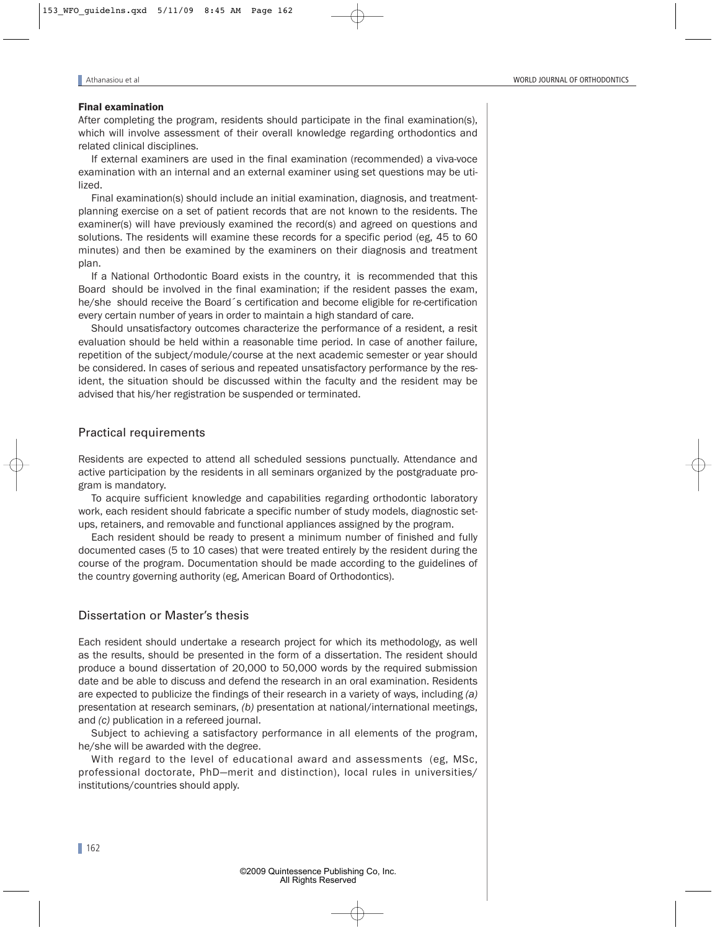# Final examination

After completing the program, residents should participate in the final examination(s), which will involve assessment of their overall knowledge regarding orthodontics and related clinical disciplines.

If external examiners are used in the final examination (recommended) a viva-voce examination with an internal and an external examiner using set questions may be utilized.

Final examination(s) should include an initial examination, diagnosis, and treatmentplanning exercise on a set of patient records that are not known to the residents. The examiner(s) will have previously examined the record(s) and agreed on questions and solutions. The residents will examine these records for a specific period (eg, 45 to 60 minutes) and then be examined by the examiners on their diagnosis and treatment plan.

If a National Orthodontic Board exists in the country, it is recommended that this Board should be involved in the final examination; if the resident passes the exam, he/she should receive the Board´s certification and become eligible for re-certification every certain number of years in order to maintain a high standard of care.

Should unsatisfactory outcomes characterize the performance of a resident, a resit evaluation should be held within a reasonable time period. In case of another failure, repetition of the subject/module/course at the next academic semester or year should be considered. In cases of serious and repeated unsatisfactory performance by the resident, the situation should be discussed within the faculty and the resident may be advised that his/her registration be suspended or terminated.

# Practical requirements

Residents are expected to attend all scheduled sessions punctually. Attendance and active participation by the residents in all seminars organized by the postgraduate program is mandatory.

To acquire sufficient knowledge and capabilities regarding orthodontic laboratory work, each resident should fabricate a specific number of study models, diagnostic setups, retainers, and removable and functional appliances assigned by the program.

Each resident should be ready to present a minimum number of finished and fully documented cases (5 to 10 cases) that were treated entirely by the resident during the course of the program. Documentation should be made according to the guidelines of the country governing authority (eg, American Board of Orthodontics).

# Dissertation or Master's thesis

Each resident should undertake a research project for which its methodology, as well as the results, should be presented in the form of a dissertation. The resident should produce a bound dissertation of 20,000 to 50,000 words by the required submission date and be able to discuss and defend the research in an oral examination. Residents are expected to publicize the findings of their research in a variety of ways, including *(a)* presentation at research seminars, *(b)* presentation at national/international meetings, and *(c)* publication in a refereed journal.

Subject to achieving a satisfactory performance in all elements of the program, he/she will be awarded with the degree.

With regard to the level of educational award and assessments (eg, MSc, professional doctorate, PhD—merit and distinction), local rules in universities/ institutions/countries should apply.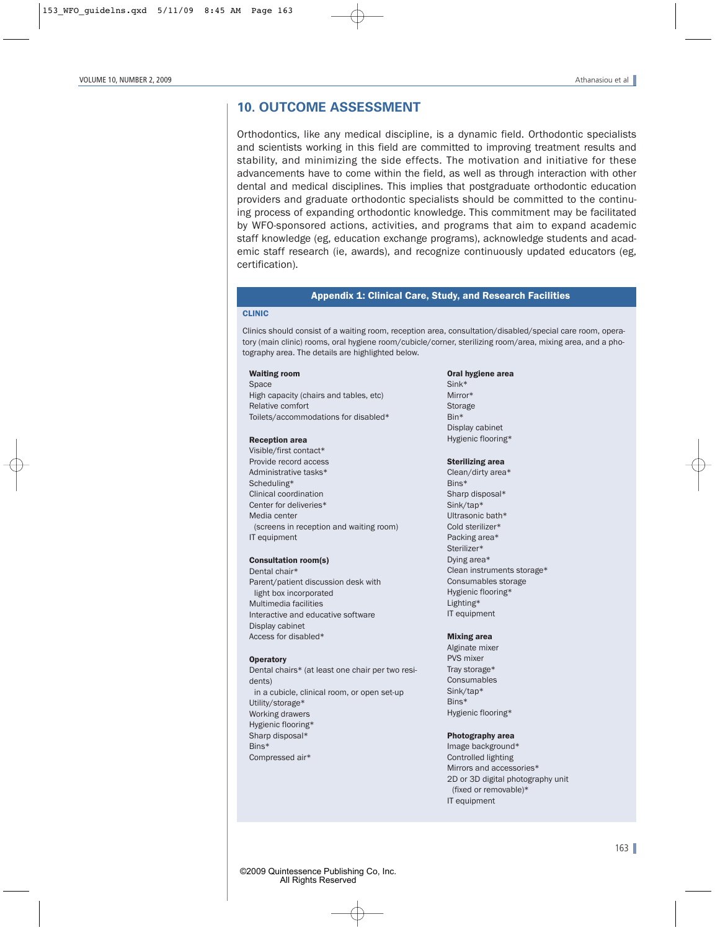# **10. OUTCOME ASSESSMENT**

Orthodontics, like any medical discipline, is a dynamic field. Orthodontic specialists and scientists working in this field are committed to improving treatment results and stability, and minimizing the side effects. The motivation and initiative for these advancements have to come within the field, as well as through interaction with other dental and medical disciplines. This implies that postgraduate orthodontic education providers and graduate orthodontic specialists should be committed to the continuing process of expanding orthodontic knowledge. This commitment may be facilitated by WFO-sponsored actions, activities, and programs that aim to expand academic staff knowledge (eg, education exchange programs), acknowledge students and academic staff research (ie, awards), and recognize continuously updated educators (eg, certification).

# Appendix 1: Clinical Care, Study, and Research Facilities

#### CLINIC

Clinics should consist of a waiting room, reception area, consultation/disabled/special care room, operatory (main clinic) rooms, oral hygiene room/cubicle/corner, sterilizing room/area, mixing area, and a photography area. The details are highlighted below.

#### Waiting room

Space High capacity (chairs and tables, etc) Relative comfort Toilets/accommodations for disabled\*

#### Reception area

Visible/first contact\* Provide record access Administrative tasks\* Scheduling\* Clinical coordination Center for deliveries\* Media center (screens in reception and waiting room) IT equipment

#### Consultation room(s)

Dental chair\* Parent/patient discussion desk with light box incorporated Multimedia facilities Interactive and educative software Display cabinet Access for disabled\*

#### **Operatory**

Dental chairs\* (at least one chair per two residents) in a cubicle, clinical room, or open set-up Utility/storage\* Working drawers Hygienic flooring\* Sharp disposal\* Bins\* Compressed air\*

#### Oral hygiene area

Sink\* Mirror\* Storage Bin\* Display cabinet Hygienic flooring\*

#### Sterilizing area

Clean/dirty area\* Bins\* Sharp disposal\* Sink/tap\* Ultrasonic bath\* Cold sterilizer\* Packing area\* Sterilizer\* Dying area\* Clean instruments storage\* Consumables storage Hygienic flooring\* Lighting\* IT equipment

#### Mixing area

Alginate mixer PVS mixer Tray storage\* Consumables Sink/tap\* Bins\* Hygienic flooring\*

#### Photography area

Image background\* Controlled lighting Mirrors and accessories\* 2D or 3D digital photography unit (fixed or removable)\* IT equipment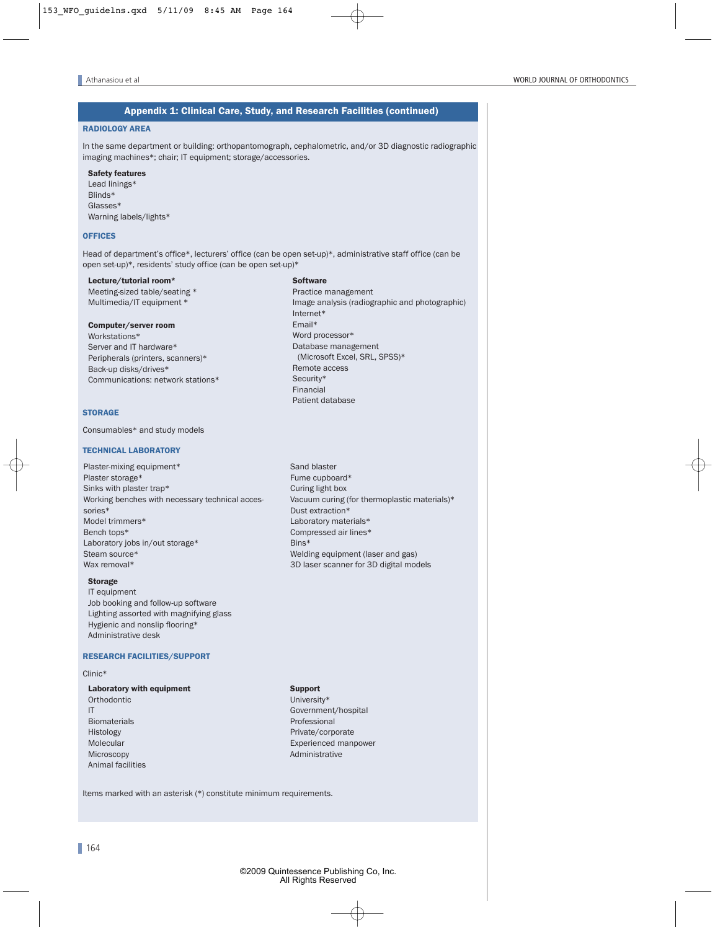# Appendix 1: Clinical Care, Study, and Research Facilities (continued)

### RADIOLOGY AREA

In the same department or building: orthopantomograph, cephalometric, and/or 3D diagnostic radiographic imaging machines\*; chair; IT equipment; storage/accessories.

#### Safety features

Lead linings\* Blinds\* Glasses\* Warning labels/lights\*

#### **OFFICES**

Head of department's office\*, lecturers' office (can be open set-up)\*, administrative staff office (can be open set-up)\*, residents' study office (can be open set-up)\*

#### Lecture/tutorial room\*

Meeting-sized table/seating \* Multimedia/IT equipment \*

#### Computer/server room

Workstations\* Server and IT hardware\* Peripherals (printers, scanners)\* Back-up disks/drives\* Communications: network stations\*

### **STORAGE**

Consumables\* and study models

#### TECHNICAL LABORATORY

Plaster-mixing equipment\* Plaster storage\* Sinks with plaster trap\* Working benches with necessary technical accessories\* Model trimmers\* Bench tops\* Laboratory jobs in/out storage\* Steam source\* Wax removal\*

#### Storage

IT equipment Job booking and follow-up software Lighting assorted with magnifying glass Hygienic and nonslip flooring\* Administrative desk

#### RESEARCH FACILITIES/SUPPORT

#### Clinic\*

| <b>Laboratory with equipment</b> |
|----------------------------------|
| Orthodontic                      |
| IT                               |
| <b>Biomaterials</b>              |
| Histology                        |
| Molecular                        |
| Microscopy                       |
| Animal facilities                |
|                                  |

#### **Software**

Practice management Image analysis (radiographic and photographic) Internet\* Email\* Word processor\* Database management (Microsoft Excel, SRL, SPSS)\* Remote access Security\* Financial Patient database

Sand blaster Fume cupboard\* Curing light box Vacuum curing (for thermoplastic materials)\* Dust extraction\* Laboratory materials\* Compressed air lines\* Bins\* Welding equipment (laser and gas) 3D laser scanner for 3D digital models

Support University\* Government/hospital Professional Private/corporate Experienced manpower Administrative

Items marked with an asterisk (\*) constitute minimum requirements.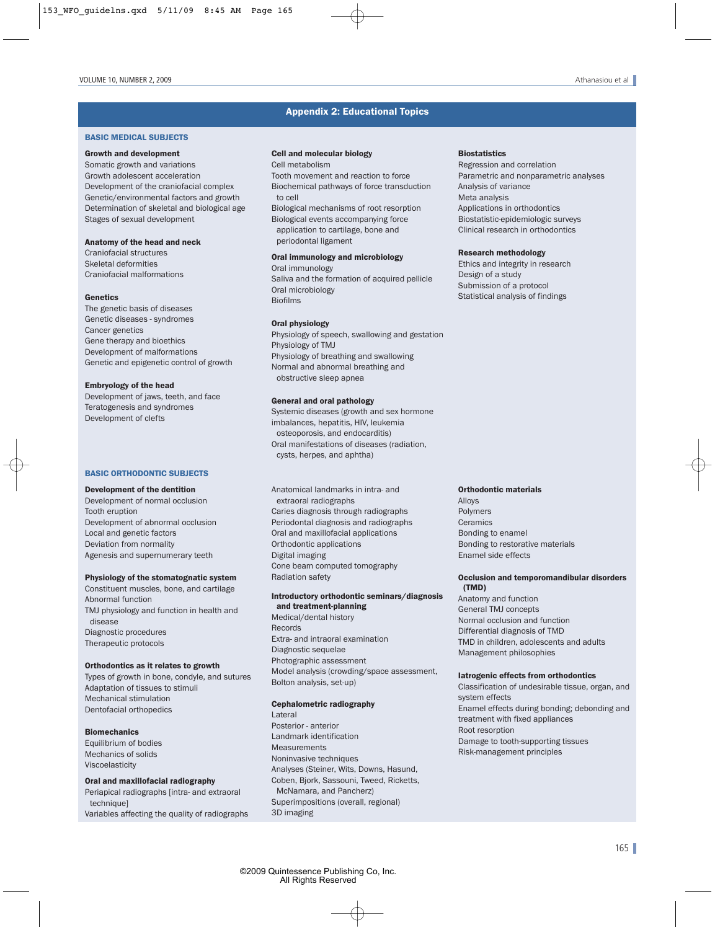# Appendix 2: Educational Topics

### BASIC MEDICAL SUBJECTS

#### Growth and development

Somatic growth and variations Growth adolescent acceleration Development of the craniofacial complex Genetic/environmental factors and growth Determination of skeletal and biological age Stages of sexual development

### Anatomy of the head and neck

Craniofacial structures Skeletal deformities Craniofacial malformations

#### Genetics

The genetic basis of diseases Genetic diseases - syndromes Cancer genetics Gene therapy and bioethics Development of malformations Genetic and epigenetic control of growth

#### Embryology of the head

Development of jaws, teeth, and face Teratogenesis and syndromes Development of clefts

#### BASIC ORTHODONTIC SUBJECTS

#### Development of the dentition

Development of normal occlusion Tooth eruption Development of abnormal occlusion Local and genetic factors Deviation from normality Agenesis and supernumerary teeth

### Physiology of the stomatognatic system

Constituent muscles, bone, and cartilage Abnormal function TMJ physiology and function in health and disease Diagnostic procedures Therapeutic protocols

#### Orthodontics as it relates to growth

Types of growth in bone, condyle, and sutures Adaptation of tissues to stimuli Mechanical stimulation Dentofacial orthopedics

# **Biomechanics**

Equilibrium of bodies Mechanics of solids Viscoelasticity

# Oral and maxillofacial radiography

Periapical radiographs [intra- and extraoral technique] Variables affecting the quality of radiographs

#### Cell and molecular biology

Cell metabolism Tooth movement and reaction to force Biochemical pathways of force transduction to cell Biological mechanisms of root resorption Biological events accompanying force application to cartilage, bone and periodontal ligament

Oral immunology and microbiology

Oral immunology Saliva and the formation of acquired pellicle Oral microbiology Biofilms

#### Oral physiology

Physiology of speech, swallowing and gestation Physiology of TMJ Physiology of breathing and swallowing Normal and abnormal breathing and obstructive sleep apnea

#### General and oral pathology

Systemic diseases (growth and sex hormone imbalances, hepatitis, HIV, leukemia osteoporosis, and endocarditis) Oral manifestations of diseases (radiation, cysts, herpes, and aphtha)

Anatomical landmarks in intra- and extraoral radiographs Caries diagnosis through radiographs Periodontal diagnosis and radiographs Oral and maxillofacial applications Orthodontic applications Digital imaging Cone beam computed tomography Radiation safety

#### Introductory orthodontic seminars/diagnosis and treatment-planning

Medical/dental history Records Extra- and intraoral examination Diagnostic sequelae Photographic assessment Model analysis (crowding/space assessment, Bolton analysis, set-up)

#### Cephalometric radiography

Lateral Posterior - anterior Landmark identification Measurements Noninvasive techniques Analyses (Steiner, Wits, Downs, Hasund, Coben, Bjork, Sassouni, Tweed, Ricketts, McNamara, and Pancherz) Superimpositions (overall, regional) 3D imaging

#### **Biostatistics**

Regression and correlation Parametric and nonparametric analyses Analysis of variance Meta analysis Applications in orthodontics Biostatistic-epidemiologic surveys Clinical research in orthodontics

#### Research methodology

Ethics and integrity in research Design of a study Submission of a protocol Statistical analysis of findings

#### Orthodontic materials

Alloys Polymers **Ceramics** Bonding to enamel Bonding to restorative materials Enamel side effects

#### Occlusion and temporomandibular disorders (TMD)

Anatomy and function General TMJ concepts Normal occlusion and function Differential diagnosis of TMD TMD in children, adolescents and adults Management philosophies

#### Iatrogenic effects from orthodontics

Classification of undesirable tissue, organ, and system effects Enamel effects during bonding; debonding and treatment with fixed appliances Root resorption Damage to tooth-supporting tissues Risk-management principles